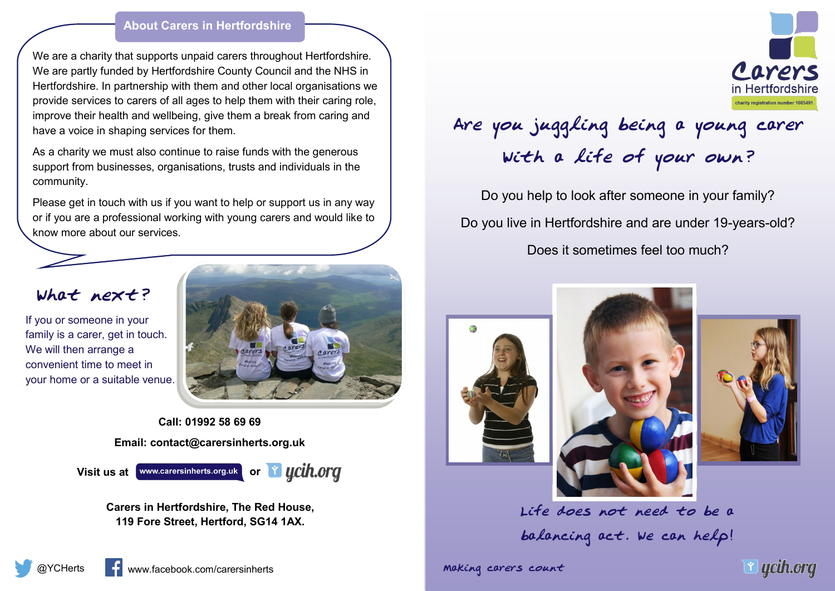## **About Carers in Hertfordshire**

We are a charity that supports unpaid carers throughout Hertfordshire. We are partly funded by Hertfordshire County Council and the NHS in Hertfordshire. In partnership with them and other local organisations we provide services to carers of all ages to help them with their caring role, improve their health and wellbeing, give them a break from caring and have a voice in shaping services for them.

As a charity we must also continue to raise funds with the generous support from businesses, organisations, trusts and individuals in the community.

Please get in touch with us if you want to help or support us in any way or if you are a professional working with young carers and would like to know more about our services.

## What next?

If you or someone in your family is a carer, get in touch. We will then arrange a convenient time to meet in your home or a suitable venue.



**Call: 01992 58 69 69 Email: contact@carersinherts.org.uk**



**Carers in Hertfordshire, The Red House, 119 Fore Street, Hertford, SG14 1AX.**



## Are you juggling being a young carer With a life of your own?

Do you help to look after someone in your family? Do you live in Hertfordshire and are under 19-years-old? Does it sometimes feel too much?







Life does not need to be a balancing act. We can help!

Making carers count